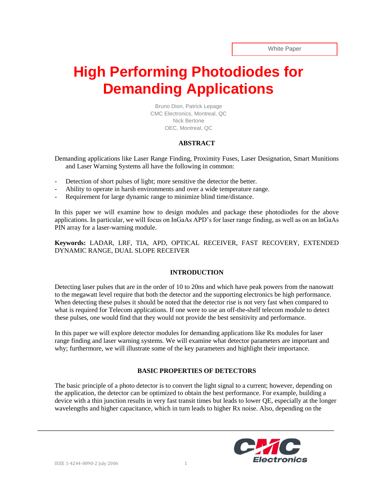# **High Performing Photodiodes for Demanding Applications**

Bruno Dion, Patrick Lepage CMC Electronics, Montreal, QC Nick Bertone OEC, Montreal, QC

## **ABSTRACT**

Demanding applications like Laser Range Finding, Proximity Fuses, Laser Designation, Smart Munitions and Laser Warning Systems all have the following in common:

- Detection of short pulses of light; more sensitive the detector the better.
- Ability to operate in harsh environments and over a wide temperature range.
- Requirement for large dynamic range to minimize blind time/distance.

In this paper we will examine how to design modules and package these photodiodes for the above applications. In particular, we will focus on InGaAs APD's for laser range finding, as well as on an InGaAs PIN array for a laser-warning module.

**Keywords:** LADAR, LRF, TIA, APD, OPTICAL RECEIVER, FAST RECOVERY, EXTENDED DYNAMIC RANGE, DUAL SLOPE RECEIVER

### **INTRODUCTION**

Detecting laser pulses that are in the order of 10 to 20ns and which have peak powers from the nanowatt to the megawatt level require that both the detector and the supporting electronics be high performance. When detecting these pulses it should be noted that the detector rise is not very fast when compared to what is required for Telecom applications. If one were to use an off-the-shelf telecom module to detect these pulses, one would find that they would not provide the best sensitivity and performance.

In this paper we will explore detector modules for demanding applications like Rx modules for laser range finding and laser warning systems. We will examine what detector parameters are important and why; furthermore, we will illustrate some of the key parameters and highlight their importance.

# **BASIC PROPERTIES OF DETECTORS**

The basic principle of a photo detector is to convert the light signal to a current; however, depending on the application, the detector can be optimized to obtain the best performance. For example, building a device with a thin junction results in very fast transit times but leads to lower QE, especially at the longer wavelengths and higher capacitance, which in turn leads to higher Rx noise. Also, depending on the

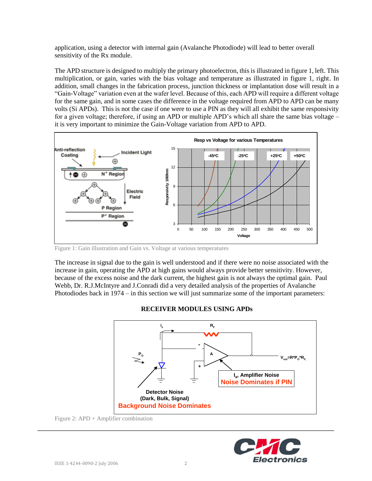application, using a detector with internal gain (Avalanche Photodiode) will lead to better overall sensitivity of the Rx module.

The APD structure is designed to multiply the primary photoelectron, this is illustrated in figure 1, left. This multiplication, or gain, varies with the bias voltage and temperature as illustrated in figure 1, right. In addition, small changes in the fabrication process, junction thickness or implantation dose will result in a "Gain-Voltage" variation even at the wafer level. Because of this, each APD will require a different voltage for the same gain, and in some cases the difference in the voltage required from APD to APD can be many volts (Si APDs). This is not the case if one were to use a PIN as they will all exhibit the same responsivity for a given voltage; therefore, if using an APD or multiple APD's which all share the same bias voltage – it is very important to minimize the Gain-Voltage variation from APD to APD.



Figure 1: Gain illustration and Gain vs. Voltage at various temperatures

The increase in signal due to the gain is well understood and if there were no noise associated with the increase in gain, operating the APD at high gains would always provide better sensitivity. However, because of the excess noise and the dark current, the highest gain is not always the optimal gain. Paul Webb, Dr. R.J.McIntyre and J.Conradi did a very detailed analysis of the properties of Avalanche Photodiodes back in 1974 – in this section we will just summarize some of the important parameters:

# **RECEIVER MODULES USING APDs**



Figure 2: APD + Amplifier combination

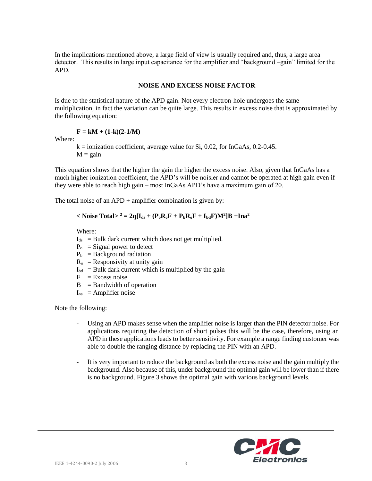In the implications mentioned above, a large field of view is usually required and, thus, a large area detector. This results in large input capacitance for the amplifier and "background –gain" limited for the APD.

#### **NOISE AND EXCESS NOISE FACTOR**

Is due to the statistical nature of the APD gain. Not every electron-hole undergoes the same multiplication, in fact the variation can be quite large. This results in excess noise that is approximated by the following equation:

$$
F = kM + (1-k)(2-1/M)
$$

Where:

 $k =$  ionization coefficient, average value for Si, 0.02, for InGaAs, 0.2-0.45.  $M = gain$ 

This equation shows that the higher the gain the higher the excess noise. Also, given that InGaAs has a much higher ionization coefficient, the APD's will be noisier and cannot be operated at high gain even if they were able to reach high gain – most InGaAs APD's have a maximum gain of 20.

The total noise of an  $APD$  + amplifier combination is given by:

#### **Noise Total><sup>2</sup> = 2q[** $I_{ds}$  **+ (** $P_oR_oF$  **+**  $P_bR_oF$  **+**  $I_{bd}F$ **)** $M^2$ **]B +Ina<sup>2</sup>**

Where:

- $I_{ds}$  = Bulk dark current which does not get multiplied.
- $P_0$  = Signal power to detect
- $P_b$  = Background radiation
- $R_0$  = Responsivity at unity gain
- $I_{\text{bd}}$  = Bulk dark current which is multiplied by the gain
- $F = Excess noise$
- $B =$ Bandwidth of operation
- $I_{na}$  = Amplifier noise

Note the following:

- Using an APD makes sense when the amplifier noise is larger than the PIN detector noise. For applications requiring the detection of short pulses this will be the case, therefore, using an APD in these applications leads to better sensitivity. For example a range finding customer was able to double the ranging distance by replacing the PIN with an APD.
- It is very important to reduce the background as both the excess noise and the gain multiply the background. Also because of this, under background the optimal gain will be lower than if there is no background. Figure 3 shows the optimal gain with various background levels.

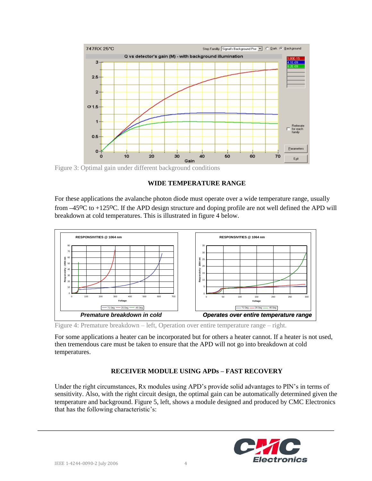

Figure 3: Optimal gain under different background conditions

#### **WIDE TEMPERATURE RANGE**

For these applications the avalanche photon diode must operate over a wide temperature range, usually from  $-45^{\circ}$ C to +125<sup>o</sup>C. If the APD design structure and doping profile are not well defined the APD will breakdown at cold temperatures. This is illustrated in figure 4 below.



Figure 4: Premature breakdown – left, Operation over entire temperature range – right.

For some applications a heater can be incorporated but for others a heater cannot. If a heater is not used, then tremendous care must be taken to ensure that the APD will not go into breakdown at cold temperatures.

# **RECEIVER MODULE USING APDs – FAST RECOVERY**

Under the right circumstances, Rx modules using APD's provide solid advantages to PIN's in terms of sensitivity. Also, with the right circuit design, the optimal gain can be automatically determined given the temperature and background. Figure 5, left, shows a module designed and produced by CMC Electronics that has the following characteristic's:

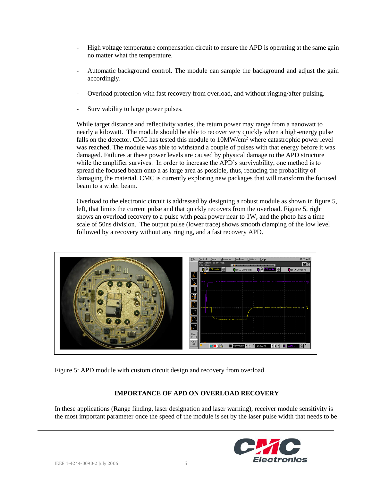- High voltage temperature compensation circuit to ensure the APD is operating at the same gain no matter what the temperature.
- Automatic background control. The module can sample the background and adjust the gain accordingly.
- Overload protection with fast recovery from overload, and without ringing/after-pulsing.
- Survivability to large power pulses.

While target distance and reflectivity varies, the return power may range from a nanowatt to nearly a kilowatt. The module should be able to recover very quickly when a high-energy pulse falls on the detector. CMC has tested this module to  $10MW/cm<sup>2</sup>$  where catastrophic power level was reached. The module was able to withstand a couple of pulses with that energy before it was damaged. Failures at these power levels are caused by physical damage to the APD structure while the amplifier survives. In order to increase the APD's survivability, one method is to spread the focused beam onto a as large area as possible, thus, reducing the probability of damaging the material. CMC is currently exploring new packages that will transform the focused beam to a wider beam.

Overload to the electronic circuit is addressed by designing a robust module as shown in figure 5, left, that limits the current pulse and that quickly recovers from the overload. Figure 5, right shows an overload recovery to a pulse with peak power near to 1W, and the photo has a time scale of 50ns division. The output pulse (lower trace) shows smooth clamping of the low level followed by a recovery without any ringing, and a fast recovery APD.



Figure 5: APD module with custom circuit design and recovery from overload

# **IMPORTANCE OF APD ON OVERLOAD RECOVERY**

In these applications (Range finding, laser designation and laser warning), receiver module sensitivity is the most important parameter once the speed of the module is set by the laser pulse width that needs to be

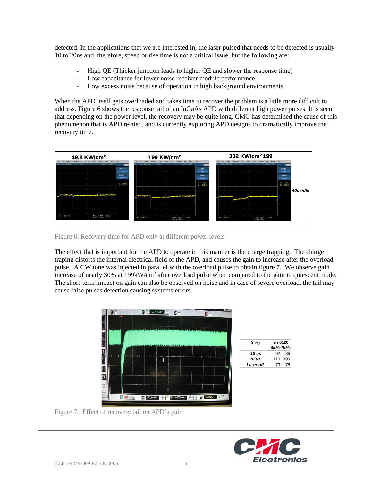detected. In the applications that we are interested in, the laser pulsed that needs to be detected is usually 10 to 20ns and, therefore, speed or rise time is not a critical issue, but the following are:

- High QE (Thicker junction leads to higher QE and slower the response time)
- Low capacitance for lower noise receiver module performance.
- Low excess noise because of operation in high background environments.

When the APD itself gets overloaded and takes time to recover the problem is a little more difficult to address. Figure 6 shows the response tail of an InGaAs APD with different high power pulses. It is seen that depending on the power level, the recovery may be quite long. CMC has determined the cause of this phenomenon that is APD related, and is currently exploring APD designs to dramatically improve the recovery time.



Figure 6: Recovery time for APD only at different power levels

The effect that is important for the APD to operate in this manner is the charge trapping. The charge traping distorts the internal electrical field of the APD, and causes the gain to increase after the overload pulse. A CW tone was injected in parallel with the overload pulse to obtain figure 7. We observe gain increase of nearly 30% at 199kW/cm<sup>2</sup> after overload pulse when compared to the gain in quiescent mode. The short-term impact on gain can also be observed on noise and in case of severe overload, the tail may cause false pulses detection causing systems errors.



Figure 7: Effect of recovery tail on APD's gain